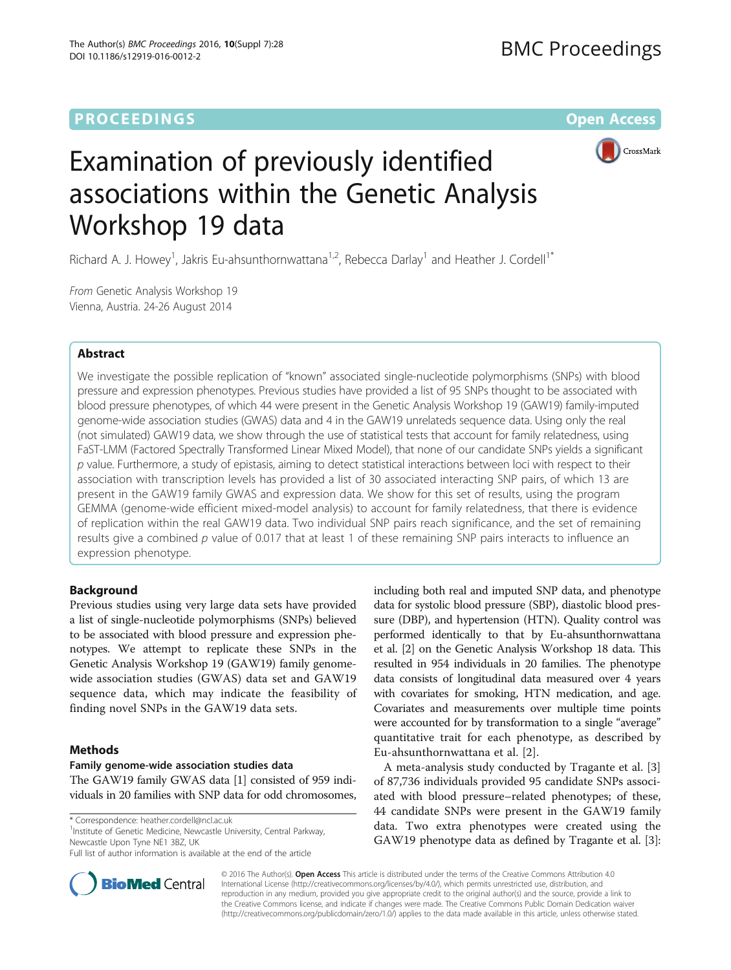# **PROCEEDINGS STATE ACCESS CONSUMING S** Open Access



# Examination of previously identified associations within the Genetic Analysis Workshop 19 data

Richard A. J. Howey<sup>1</sup>, Jakris Eu-ahsunthornwattana<sup>1,2</sup>, Rebecca Darlay<sup>1</sup> and Heather J. Cordell<sup>1\*</sup>

From Genetic Analysis Workshop 19 Vienna, Austria. 24-26 August 2014

# Abstract

We investigate the possible replication of "known" associated single-nucleotide polymorphisms (SNPs) with blood pressure and expression phenotypes. Previous studies have provided a list of 95 SNPs thought to be associated with blood pressure phenotypes, of which 44 were present in the Genetic Analysis Workshop 19 (GAW19) family-imputed genome-wide association studies (GWAS) data and 4 in the GAW19 unrelateds sequence data. Using only the real (not simulated) GAW19 data, we show through the use of statistical tests that account for family relatedness, using FaST-LMM (Factored Spectrally Transformed Linear Mixed Model), that none of our candidate SNPs yields a significant  $p$  value. Furthermore, a study of epistasis, aiming to detect statistical interactions between loci with respect to their association with transcription levels has provided a list of 30 associated interacting SNP pairs, of which 13 are present in the GAW19 family GWAS and expression data. We show for this set of results, using the program GEMMA (genome-wide efficient mixed-model analysis) to account for family relatedness, that there is evidence of replication within the real GAW19 data. Two individual SNP pairs reach significance, and the set of remaining results give a combined p value of 0.017 that at least 1 of these remaining SNP pairs interacts to influence an expression phenotype.

# Background

Previous studies using very large data sets have provided a list of single-nucleotide polymorphisms (SNPs) believed to be associated with blood pressure and expression phenotypes. We attempt to replicate these SNPs in the Genetic Analysis Workshop 19 (GAW19) family genomewide association studies (GWAS) data set and GAW19 sequence data, which may indicate the feasibility of finding novel SNPs in the GAW19 data sets.

### Methods

#### Family genome-wide association studies data

The GAW19 family GWAS data [\[1](#page-4-0)] consisted of 959 individuals in 20 families with SNP data for odd chromosomes,

\* Correspondence: [heather.cordell@ncl.ac.uk](mailto:heather.cordell@ncl.ac.uk) <sup>1</sup>

<sup>1</sup> Institute of Genetic Medicine, Newcastle University, Central Parkway, Newcastle Upon Tyne NE1 3BZ, UK

including both real and imputed SNP data, and phenotype data for systolic blood pressure (SBP), diastolic blood pressure (DBP), and hypertension (HTN). Quality control was performed identically to that by Eu-ahsunthornwattana et al. [\[2](#page-4-0)] on the Genetic Analysis Workshop 18 data. This resulted in 954 individuals in 20 families. The phenotype data consists of longitudinal data measured over 4 years with covariates for smoking, HTN medication, and age. Covariates and measurements over multiple time points were accounted for by transformation to a single "average" quantitative trait for each phenotype, as described by Eu-ahsunthornwattana et al. [[2\]](#page-4-0).

A meta-analysis study conducted by Tragante et al. [\[3](#page-4-0)] of 87,736 individuals provided 95 candidate SNPs associated with blood pressure–related phenotypes; of these, 44 candidate SNPs were present in the GAW19 family data. Two extra phenotypes were created using the GAW19 phenotype data as defined by Tragante et al. [[3](#page-4-0)]:



© 2016 The Author(s). Open Access This article is distributed under the terms of the Creative Commons Attribution 4.0 International License [\(http://creativecommons.org/licenses/by/4.0/](http://creativecommons.org/licenses/by/4.0/)), which permits unrestricted use, distribution, and reproduction in any medium, provided you give appropriate credit to the original author(s) and the source, provide a link to the Creative Commons license, and indicate if changes were made. The Creative Commons Public Domain Dedication waiver [\(http://creativecommons.org/publicdomain/zero/1.0/](http://creativecommons.org/publicdomain/zero/1.0/)) applies to the data made available in this article, unless otherwise stated.

Full list of author information is available at the end of the article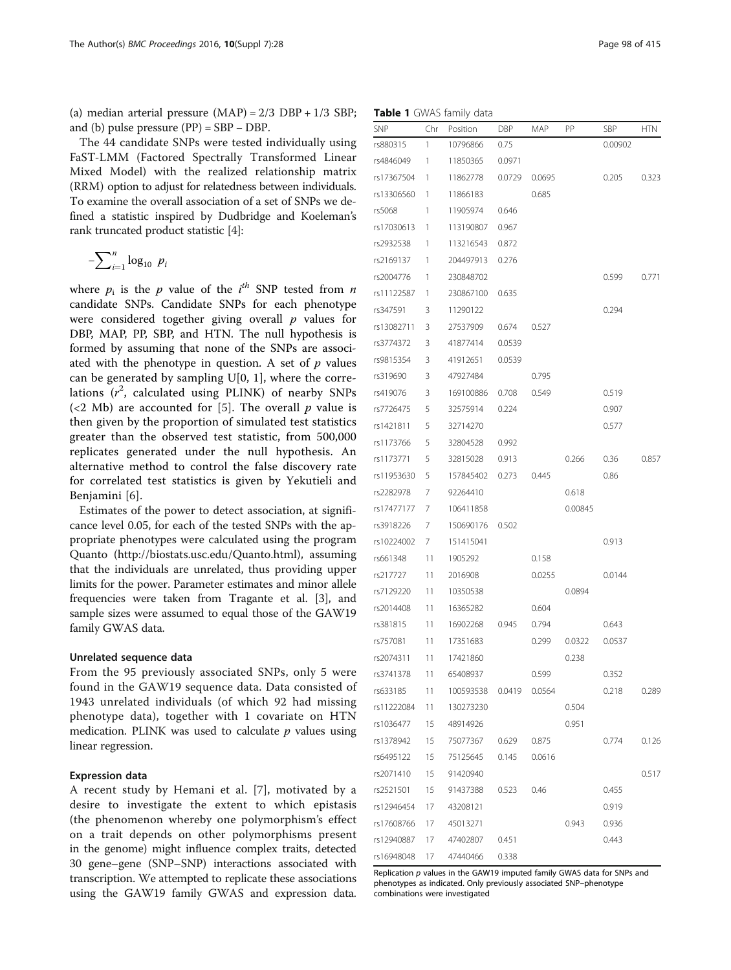<span id="page-1-0"></span>(a) median arterial pressure  $(MAP) = 2/3 DBP + 1/3 SBP$ ; and (b) pulse pressure  $(PP) = SBP - DBP$ .

The 44 candidate SNPs were tested individually using FaST-LMM (Factored Spectrally Transformed Linear Mixed Model) with the realized relationship matrix (RRM) option to adjust for relatedness between individuals. To examine the overall association of a set of SNPs we defined a statistic inspired by Dudbridge and Koeleman's rank truncated product statistic [[4](#page-4-0)]:

$$
-\sum_{i=1}^n \log_{10} p_i
$$

where  $p_i$  is the  $p$  value of the  $i^{th}$  SNP tested from  $n$ candidate SNPs. Candidate SNPs for each phenotype were considered together giving overall  $p$  values for DBP, MAP, PP, SBP, and HTN. The null hypothesis is formed by assuming that none of the SNPs are associated with the phenotype in question. A set of  $p$  values can be generated by sampling  $U[0, 1]$ , where the correlations  $(r^2$ , calculated using PLINK) of nearby SNPs (<2 Mb) are accounted for [[5\]](#page-4-0). The overall  $p$  value is then given by the proportion of simulated test statistics greater than the observed test statistic, from 500,000 replicates generated under the null hypothesis. An alternative method to control the false discovery rate for correlated test statistics is given by Yekutieli and Benjamini [[6\]](#page-4-0).

Estimates of the power to detect association, at significance level 0.05, for each of the tested SNPs with the appropriate phenotypes were calculated using the program Quanto ([http://biostats.usc.edu/Quanto.html\)](http://biostats.usc.edu/Quanto.html), assuming that the individuals are unrelated, thus providing upper limits for the power. Parameter estimates and minor allele frequencies were taken from Tragante et al. [[3\]](#page-4-0), and sample sizes were assumed to equal those of the GAW19 family GWAS data.

#### Unrelated sequence data

From the 95 previously associated SNPs, only 5 were found in the GAW19 sequence data. Data consisted of 1943 unrelated individuals (of which 92 had missing phenotype data), together with 1 covariate on HTN medication. PLINK was used to calculate  $p$  values using linear regression.

#### Expression data

A recent study by Hemani et al. [[7\]](#page-4-0), motivated by a desire to investigate the extent to which epistasis (the phenomenon whereby one polymorphism's effect on a trait depends on other polymorphisms present in the genome) might influence complex traits, detected 30 gene–gene (SNP–SNP) interactions associated with transcription. We attempted to replicate these associations using the GAW19 family GWAS and expression data.

Table 1 GWAS family data

| <b>SNP</b> | Chr | Position         | DBP    | MAP    | PP      | SBP     | HTN   |
|------------|-----|------------------|--------|--------|---------|---------|-------|
| rs880315   | 1   | 10796866         | 0.75   |        |         | 0.00902 |       |
| rs4846049  | 1   | 11850365         | 0.0971 |        |         |         |       |
| rs17367504 | 1   | 11862778         | 0.0729 | 0.0695 |         | 0.205   | 0.323 |
| rs13306560 | 1   | 11866183         |        | 0.685  |         |         |       |
| rs5068     | 1   | 11905974         | 0.646  |        |         |         |       |
| rs17030613 | 1   | 113190807        | 0.967  |        |         |         |       |
| rs2932538  | 1   | 113216543        | 0.872  |        |         |         |       |
| rs2169137  | 1   | 204497913        | 0.276  |        |         |         |       |
| rs2004776  | 1   | 230848702        |        |        |         | 0.599   | 0.771 |
| rs11122587 | 1   | 230867100        | 0.635  |        |         |         |       |
| rs347591   | 3   | 11290122         |        |        |         | 0.294   |       |
| rs13082711 | 3   | 27537909         | 0.674  | 0.527  |         |         |       |
| rs3774372  | 3   | 41877414         | 0.0539 |        |         |         |       |
| rs9815354  | 3   | 41912651         | 0.0539 |        |         |         |       |
| rs319690   | 3   | 47927484         |        | 0.795  |         |         |       |
| rs419076   | 3   | 169100886        | 0.708  | 0.549  |         | 0.519   |       |
| rs7726475  | 5   | 32575914         | 0.224  |        |         | 0.907   |       |
| rs1421811  | 5   | 32714270         |        |        |         | 0.577   |       |
| rs1173766  | 5   | 32804528         | 0.992  |        |         |         |       |
| rs1173771  | 5   | 32815028         | 0.913  |        | 0.266   | 0.36    | 0.857 |
| rs11953630 | 5   | 157845402        | 0.273  | 0.445  |         | 0.86    |       |
| rs2282978  | 7   | 92264410         |        |        | 0.618   |         |       |
| rs17477177 | 7   | 106411858        |        |        | 0.00845 |         |       |
| rs3918226  | 7   | 150690176        | 0.502  |        |         |         |       |
| rs10224002 | 7   | 151415041        |        |        |         | 0.913   |       |
| rs661348   | 11  | 1905292          |        | 0.158  |         |         |       |
| rs217727   | 11  | 2016908          |        | 0.0255 |         | 0.0144  |       |
| rs7129220  | 11  | 10350538         |        |        | 0.0894  |         |       |
| rs2014408  | 11  | 16365282         |        | 0.604  |         |         |       |
| rs381815   | 11  | 16902268         | 0.945  | 0.794  |         | 0.643   |       |
| rs757081   | 11  | 17351683         |        | 0.299  | 0.0322  | 0.0537  |       |
| rs2074311  | 11  | 17421860         |        |        | 0.238   |         |       |
| rs3741378  | 11  | 65408937         |        | 0.599  |         | 0.352   |       |
| rs633185   | 11  | 100593538 0.0419 |        | 0.0564 |         | 0.218   | 0.289 |
| rs11222084 | 11  | 130273230        |        |        | 0.504   |         |       |
| rs1036477  | 15  | 48914926         |        |        | 0.951   |         |       |
| rs1378942  | 15  | 75077367         | 0.629  | 0.875  |         | 0.774   | 0.126 |
| rs6495122  | 15  | 75125645         | 0.145  | 0.0616 |         |         |       |
| rs2071410  | 15  | 91420940         |        |        |         |         | 0.517 |
| rs2521501  | 15  | 91437388         | 0.523  | 0.46   |         | 0.455   |       |
| rs12946454 | 17  | 43208121         |        |        |         | 0.919   |       |
| rs17608766 | 17  | 45013271         |        |        | 0.943   | 0.936   |       |
| rs12940887 | 17  | 47402807         | 0.451  |        |         | 0.443   |       |
| rs16948048 | 17  | 47440466         | 0.338  |        |         |         |       |

Replication p values in the GAW19 imputed family GWAS data for SNPs and phenotypes as indicated. Only previously associated SNP–phenotype combinations were investigated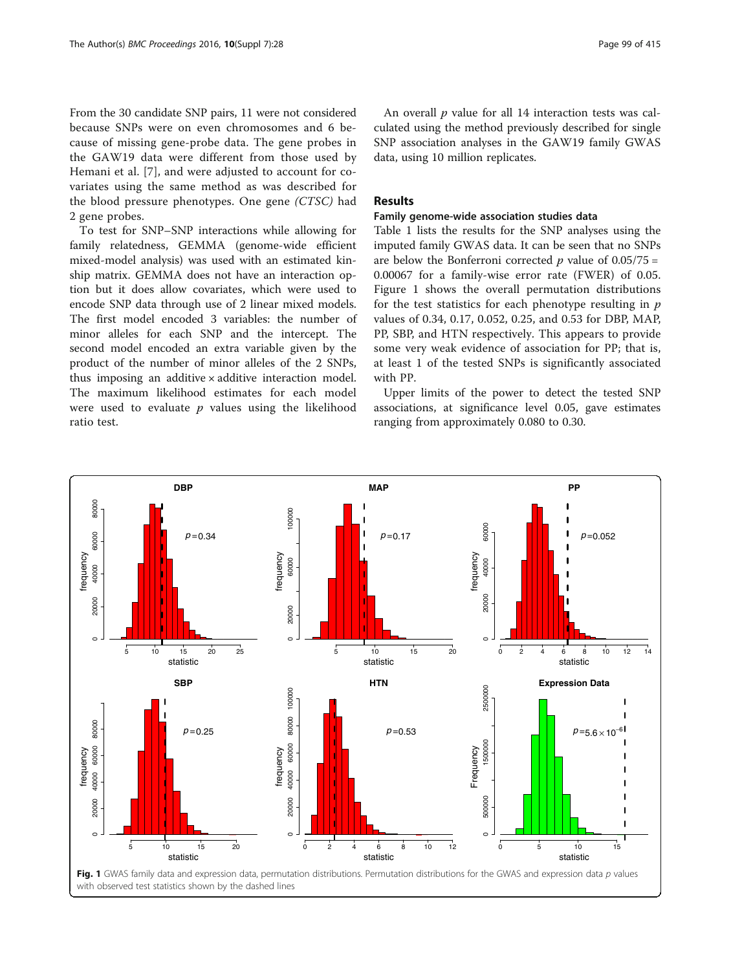<span id="page-2-0"></span>From the 30 candidate SNP pairs, 11 were not considered because SNPs were on even chromosomes and 6 because of missing gene-probe data. The gene probes in the GAW19 data were different from those used by Hemani et al. [\[7](#page-4-0)], and were adjusted to account for covariates using the same method as was described for the blood pressure phenotypes. One gene (CTSC) had 2 gene probes.

To test for SNP–SNP interactions while allowing for family relatedness, GEMMA (genome-wide efficient mixed-model analysis) was used with an estimated kinship matrix. GEMMA does not have an interaction option but it does allow covariates, which were used to encode SNP data through use of 2 linear mixed models. The first model encoded 3 variables: the number of minor alleles for each SNP and the intercept. The second model encoded an extra variable given by the product of the number of minor alleles of the 2 SNPs, thus imposing an additive  $\times$  additive interaction model. The maximum likelihood estimates for each model were used to evaluate  $p$  values using the likelihood ratio test.

An overall  $p$  value for all 14 interaction tests was calculated using the method previously described for single SNP association analyses in the GAW19 family GWAS data, using 10 million replicates.

## Results

#### Family genome-wide association studies data

Table [1](#page-1-0) lists the results for the SNP analyses using the imputed family GWAS data. It can be seen that no SNPs are below the Bonferroni corrected  $p$  value of 0.05/75 = 0.00067 for a family-wise error rate (FWER) of 0.05. Figure 1 shows the overall permutation distributions for the test statistics for each phenotype resulting in  $p$ values of 0.34, 0.17, 0.052, 0.25, and 0.53 for DBP, MAP, PP, SBP, and HTN respectively. This appears to provide some very weak evidence of association for PP; that is, at least 1 of the tested SNPs is significantly associated with PP.

Upper limits of the power to detect the tested SNP associations, at significance level 0.05, gave estimates ranging from approximately 0.080 to 0.30.

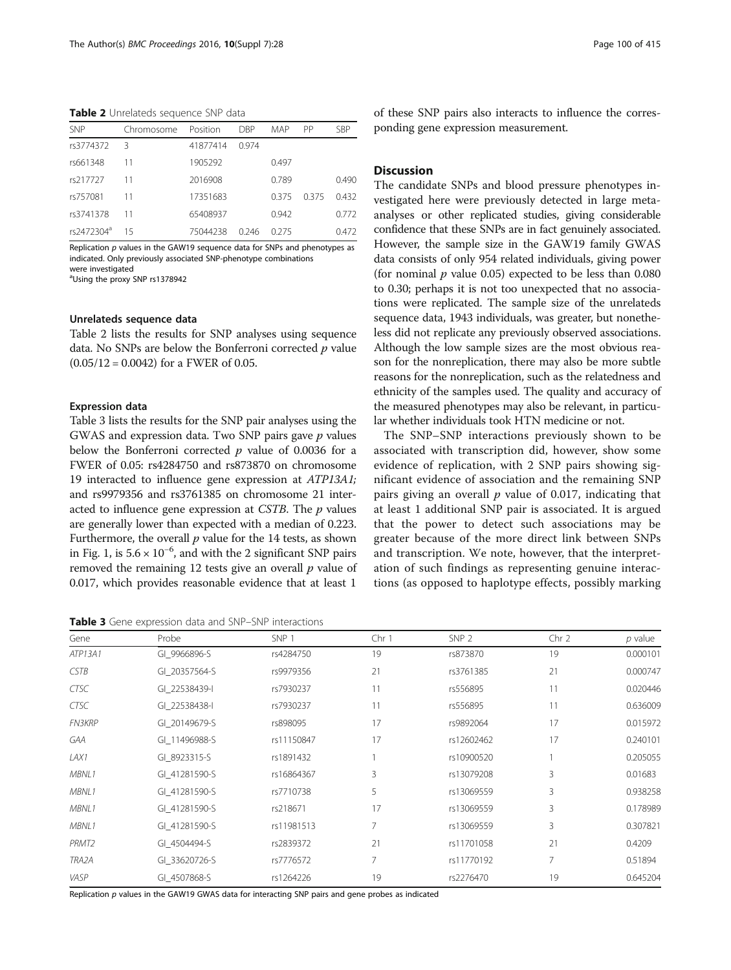Table 2 Unrelateds sequence SNP data

| <b>SNP</b>             | Chromosome | Position | <b>DBP</b> | MAP   | PP    | <b>SBP</b> |
|------------------------|------------|----------|------------|-------|-------|------------|
| rs3774372              | -3         | 41877414 | 0.974      |       |       |            |
| rs661348               | 11         | 1905292  |            | 0.497 |       |            |
| rs217727               | 11         | 2016908  |            | 0.789 |       | 0.490      |
| rs757081               | 11         | 17351683 |            | 0375  | 0.375 | 0.432      |
| rs3741378              | 11         | 65408937 |            | 0.942 |       | 0.772      |
| rs2472304 <sup>a</sup> | 15         | 75044238 | በ 246      | 0.275 |       | 0.472      |

Replication  $p$  values in the GAW19 sequence data for SNPs and phenotypes as indicated. Only previously associated SNP-phenotype combinations were investigated

a Using the proxy SNP rs1378942

#### Unrelateds sequence data

Table 2 lists the results for SNP analyses using sequence data. No SNPs are below the Bonferroni corrected  $p$  value  $(0.05/12 = 0.0042)$  for a FWER of 0.05.

#### Expression data

Table 3 lists the results for the SNP pair analyses using the GWAS and expression data. Two SNP pairs gave  $p$  values below the Bonferroni corrected  $p$  value of 0.0036 for a FWER of 0.05: rs4284750 and rs873870 on chromosome 19 interacted to influence gene expression at ATP13A1; and rs9979356 and rs3761385 on chromosome 21 interacted to influence gene expression at CSTB. The  $p$  values are generally lower than expected with a median of 0.223. Furthermore, the overall  $p$  value for the 14 tests, as shown in Fig. [1](#page-2-0), is  $5.6 \times 10^{-6}$ , and with the 2 significant SNP pairs removed the remaining 12 tests give an overall  $p$  value of 0.017, which provides reasonable evidence that at least 1

Table 3 Gene expression data and SNP-SNP interactions

of these SNP pairs also interacts to influence the corresponding gene expression measurement.

#### **Discussion**

The candidate SNPs and blood pressure phenotypes investigated here were previously detected in large metaanalyses or other replicated studies, giving considerable confidence that these SNPs are in fact genuinely associated. However, the sample size in the GAW19 family GWAS data consists of only 954 related individuals, giving power (for nominal  $p$  value 0.05) expected to be less than 0.080 to 0.30; perhaps it is not too unexpected that no associations were replicated. The sample size of the unrelateds sequence data, 1943 individuals, was greater, but nonetheless did not replicate any previously observed associations. Although the low sample sizes are the most obvious reason for the nonreplication, there may also be more subtle reasons for the nonreplication, such as the relatedness and ethnicity of the samples used. The quality and accuracy of the measured phenotypes may also be relevant, in particular whether individuals took HTN medicine or not.

The SNP–SNP interactions previously shown to be associated with transcription did, however, show some evidence of replication, with 2 SNP pairs showing significant evidence of association and the remaining SNP pairs giving an overall  $p$  value of 0.017, indicating that at least 1 additional SNP pair is associated. It is argued that the power to detect such associations may be greater because of the more direct link between SNPs and transcription. We note, however, that the interpretation of such findings as representing genuine interactions (as opposed to haplotype effects, possibly marking

| Gene          | Probe         | SNP <sub>1</sub> | Chr 1 | SNP <sub>2</sub> | Chr 2 | $p$ value |
|---------------|---------------|------------------|-------|------------------|-------|-----------|
| ATP13A1       | GI 9966896-S  | rs4284750        | 19    | rs873870         | 19    | 0.000101  |
| <b>CSTB</b>   | GI 20357564-S | rs9979356        | 21    | rs3761385        | 21    | 0.000747  |
| <b>CTSC</b>   | GI 22538439-I | rs7930237        | 11    | rs556895         | 11    | 0.020446  |
| <b>CTSC</b>   | GI 22538438-I | rs7930237        | 11    | rs556895         | 11    | 0.636009  |
| <b>FN3KRP</b> | GI 20149679-S | rs898095         | 17    | rs9892064        | 17    | 0.015972  |
| <b>GAA</b>    | GI 11496988-S | rs11150847       | 17    | rs12602462       | 17    | 0.240101  |
| LAX1          | GI 8923315-S  | rs1891432        |       | rs10900520       |       | 0.205055  |
| MBNL1         | GI 41281590-S | rs16864367       | 3     | rs13079208       | 3     | 0.01683   |
| MBNL1         | GI 41281590-S | rs7710738        | 5     | rs13069559       | 3     | 0.938258  |
| MBNL1         | GI 41281590-S | rs218671         | 17    | rs13069559       | 3     | 0.178989  |
| MBNL1         | GI 41281590-S | rs11981513       | 7     | rs13069559       | 3     | 0.307821  |
| PRMT2         | GI 4504494-S  | rs2839372        | 21    | rs11701058       | 21    | 0.4209    |
| TRA2A         | GI 33620726-S | rs7776572        | 7     | rs11770192       | 7     | 0.51894   |
| VASP          | GI 4507868-S  | rs1264226        | 19    | rs2276470        | 19    | 0.645204  |

Replication p values in the GAW19 GWAS data for interacting SNP pairs and gene probes as indicated